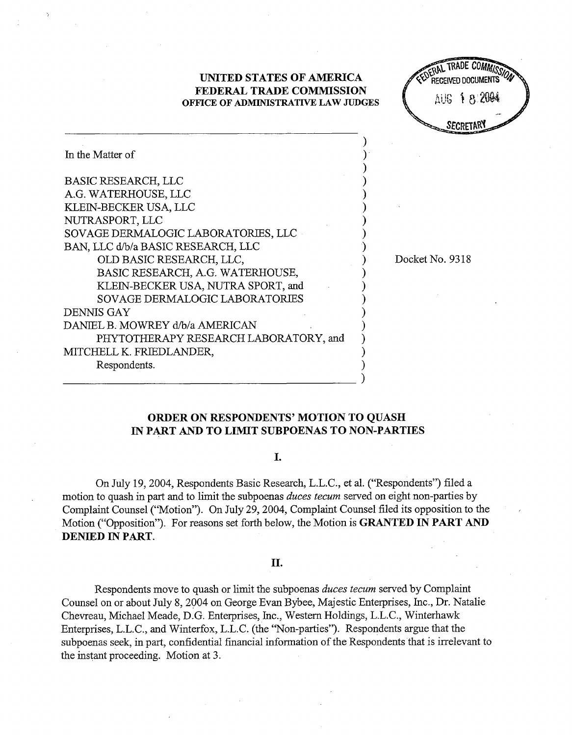## **UNITED STATES OF AMERICA FEDERAL TRADE COMMISSION OFFICE OF ADMINISTRATIVE LAW JUDGES**



| In the Matter of                      |  |
|---------------------------------------|--|
| <b>BASIC RESEARCH, LLC</b>            |  |
| A.G. WATERHOUSE, LLC                  |  |
| KLEIN-BECKER USA, LLC                 |  |
| NUTRASPORT, LLC                       |  |
| SOVAGE DERMALOGIC LABORATORIES, LLC   |  |
| BAN, LLC d/b/a BASIC RESEARCH, LLC    |  |
| OLD BASIC RESEARCH, LLC,              |  |
| BASIC RESEARCH, A.G. WATERHOUSE,      |  |
| KLEIN-BECKER USA, NUTRA SPORT, and    |  |
| SOVAGE DERMALOGIC LABORATORIES        |  |
| <b>DENNIS GAY</b>                     |  |
| DANIEL B. MOWREY d/b/a AMERICAN       |  |
| PHYTOTHERAPY RESEARCH LABORATORY, and |  |
| MITCHELL K. FRIEDLANDER,              |  |
| Respondents.                          |  |
|                                       |  |

Docket No. 9318

 $\lambda$ 

# **ORDER ON RESPONDENTS' MOTION TO QUASH IN PART AND TO LIMIT SUBPOENAS TO NON-PARTIES**

I.

On July 19,2004, Respondents Basic Research, L.L.C., et al. ("Respondents") filed a motion to quash in part and to limit the subpoenas *duces tecum* served on eight non-parties by Complaint Counsel ("Motion"). On July 29,2004, Complaint Counsel filed its opposition to the Motion ("Opposition"). For reasons set forth below, the Motion is **GRANTED IN PART AND DENIED IN PART.** 

#### II.

Respondents move to quash or limit the subpoenas *duces tecum* served by Complaint Counsel on or about July 8,2004 on George Evan Bybee, Majestic Enterprises, Inc., Dr. Natalie Chevreau, Michael Meade, D.G. Enterprises, Inc., Western Holdings, L.L.C., Winterhawk Enterprises, L.L.C., and Winterfox, L.L.C. (the "Non-parties"). Respondents argue that the subpoenas seek, in part, confidential financial information of the Respondents that is irrelevant to the instant proceeding. Motion at 3.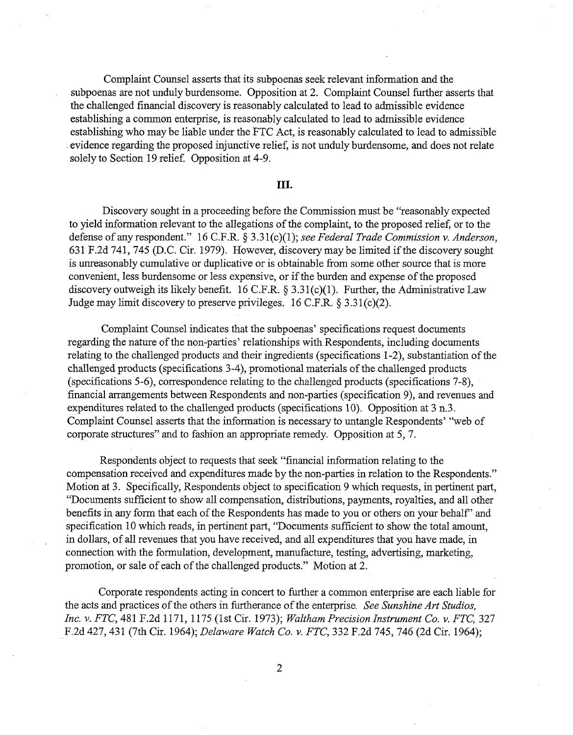Complaint Counsel asserts that its subpoenas seek relevant information and the subpoenas are not unduly burdensome. Opposition at 2. Complaint Counsel further asserts that the challenged financial discovery is reasonably calculated to lead to admissible evidence establishing a common enterprise, is reasonably calculated to lead to admissible evidence establishing who may be liable under the FTC Act, is reasonably calculated to lead to admissible . evidence regarding the proposed injunctive relief, is not unduly burdensome, and does not relate solely to Section 19 relief. Opposition at 4-9.

## III.

Discovery sought in a proceeding before the Commission must be "reasonably expected to yield information relevant to the allegations of the complaint, to the proposed relief, or to the defense of any respondent."  $16$  C.F.R. § 3.31(c)(1); see Federal Trade Commission v. Anderson, 631 F.2d 741,745 (D.C. Cir. 1979). However, discovery may be limited if the discovery sought is unreasonably cumulative or duplicative or is obtainable from some other source that is more convenient, less burdensome or less expensive, or if the burden and expense of the proposed discovery outweigh its likely benefit. 16 C.F.R. § 3.31(c)(1). Further, the Administrative Law Judge may limit discovery to preserve privileges. 16 C.F.R. *5* 3.3 l(c)(2).

Complaint Counsel indicates that the subpoenas' specifications request documents regarding the nature of the non-parties' relationships with Respondents, including documents relating to the challenged products and their ingredients (specifications 1-2), substantiation of the challenged products (specifications 3-4), promotional materials of the challenged products (specifications 5-6), correspondence relating to the challenged products (specifications 7-8), financial arrangements between Respondents and non-parties (specification 9), and revenues and expenditures related to the challenged products (specifications 10). Opposition at 3 n.3. Complaint Counsel asserts that the information is necessary to untangle Respondents' "web of corporate structures" and to fashion an appropriate remedy. Opposition at 5, 7.

Respondents object to requests that seek "financial information relating to the compensation received and expenditures made by the non-parties in relation to the Respondents." Motion at 3. Specifically, Respondents object to specification 9 which requests, in pertinent part, "Documents sufficient to show all compensation, distributions, payments, royalties, and all other benefits in any form that each of the Respondents has made to you or others on your behalf' and specification 10 whch reads, in pertinent part, "Documents sufficient to show the total amount, in dollars, of all revenues that you have received, and all expenditures that you have made, in connection with the formulation, development, manufacture, testing, advertising, marketing, promotion, or sale of each of the challenged products." Motion at 2.

Corporate respondents acting in concert to further a common enterprise are each liable for the acts and practices of the others in furtherance of the enterprise. See Sunshine Art Studios, Inc. v. FTC, 481 F.2d 1171, 1 175 (1st Cir. 1973); Waltham Precision Instrument Co. v. FTC, 327 F.2d 427,431 (7th Cir. 1964); Delaware Watch Co. v. FTC, 332 F.2d 745, 746 (2d Cir. 1964);